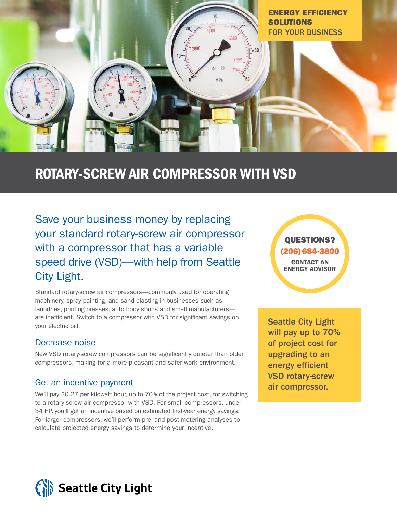

# ROTARY-SCREW AIR COMPRESSOR WITH VSD

Save your business money by replacing your standard rotary-screw air compressor with a compressor that has a variable speed drive (VSD)—with help from Seattle City Light.

Standard rotary-screw air compressors—commonly used for operating machinery, spray painting, and sand blasting in businesses such as laundries, printing presses, auto body shops and small manufacturers are inefficient. Switch to a compressor with VSD for significant savings on your electric bill.

### Decrease noise

New VSD rotary-screw compressors can be significantly quieter than older compressors, making for a more pleasant and safer work environment.

### Get an incentive payment

We'll pay \$0.27 per kilowatt hour, up to 70% of the project cost, for switching to a rotary-screw air compressor with VSD. For small compressors, under 34 HP, you'll get an incentive based on estimated first-year energy savings. For larger compressors, we'll perform pre- and post-metering analyses to calculate projected energy savings to determine your incentive.

QUESTIONS? (206) 684-3800 CONTACT AN ENERGY ADVISOR

Seattle City Light will pay up to 70% of project cost for upgrading to an energy efficient VSD rotary-screw air compressor.